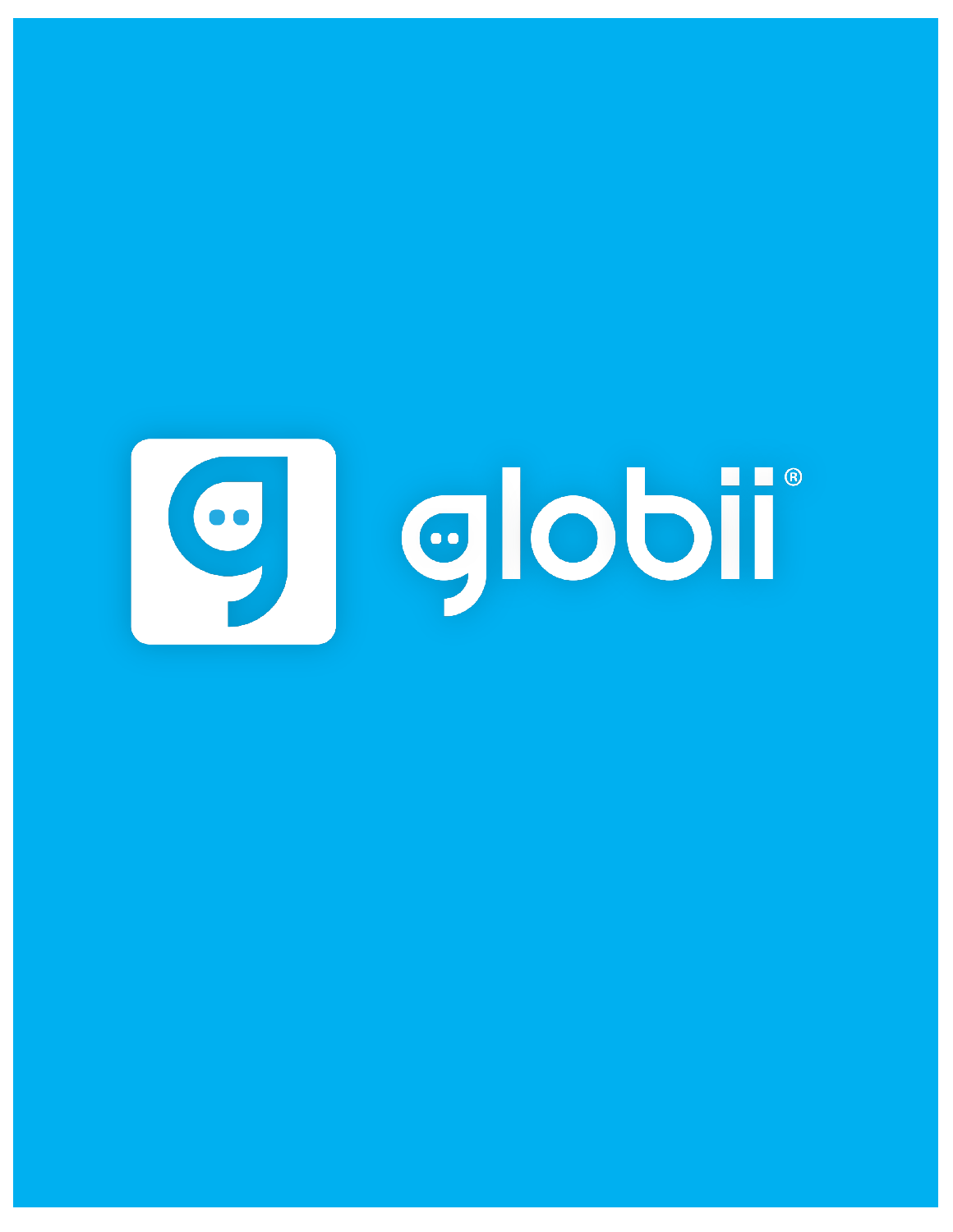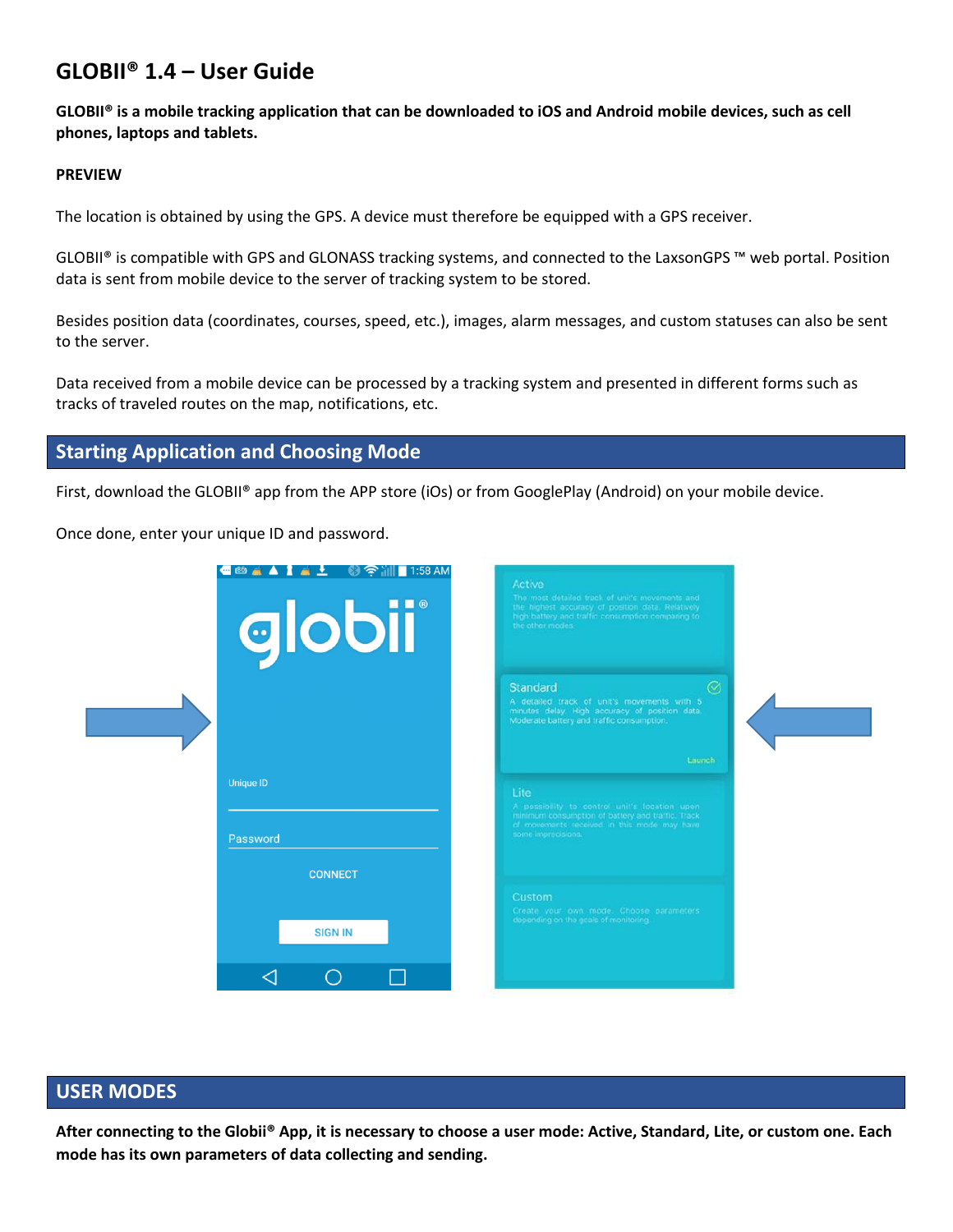# **GLOBII® 1.4 – User Guide**

**GLOBII® is a mobile tracking application that can be downloaded to iOS and Android mobile devices, such as cell phones, laptops and tablets.**

#### **PREVIEW**

The location is obtained by using the GPS. A device must therefore be equipped with a GPS receiver.

GLOBII® is compatible with GPS and GLONASS tracking systems, and connected to the LaxsonGPS ™ web portal. Position data is sent from mobile device to the server of tracking system to be stored.

Besides position data (coordinates, courses, speed, etc.), images, alarm messages, and custom statuses can also be sent to the server.

Data received from a mobile device can be processed by a tracking system and presented in different forms such as tracks of traveled routes on the map, notifications, etc.

# **Starting Application and Choosing Mode**

First, download the GLOBII® app from the APP store (iOs) or from GooglePlay (Android) on your mobile device.

Once done, enter your unique ID and password.

| └ - - - - 1 1:58 AM<br>$\blacksquare$ $\blacksquare$<br>globii | Active<br>The most detailed track of unit's mevements and<br>the highest accuracy of position data. Relatively<br>high battery and traffic consumption comparing to<br>the ather modes.   |
|----------------------------------------------------------------|-------------------------------------------------------------------------------------------------------------------------------------------------------------------------------------------|
|                                                                | $\odot$<br><b>Standard</b><br>A detailed track of unit's movements with 5<br>minutes delay. High accuracy of position data.<br>Moderate battery and traffic consumption.                  |
| Unique ID<br>Password                                          | Launch<br>Lite<br>A possibility to control unit's location upon<br>minimum consumption of battery and traffic. Track<br>of movements received in this mode may have<br>some imprecisions. |
| <b>CONNECT</b><br><b>SIGN IN</b>                               | Custom<br>Create your own mode. Choose parameters<br>depending on the geals of monitoring                                                                                                 |
| ◠                                                              |                                                                                                                                                                                           |

# **USER MODES**

**After connecting to the Globii® App, it is necessary to choose a user mode: Active, Standard, Lite, or custom one. Each mode has its own parameters of data collecting and sending.**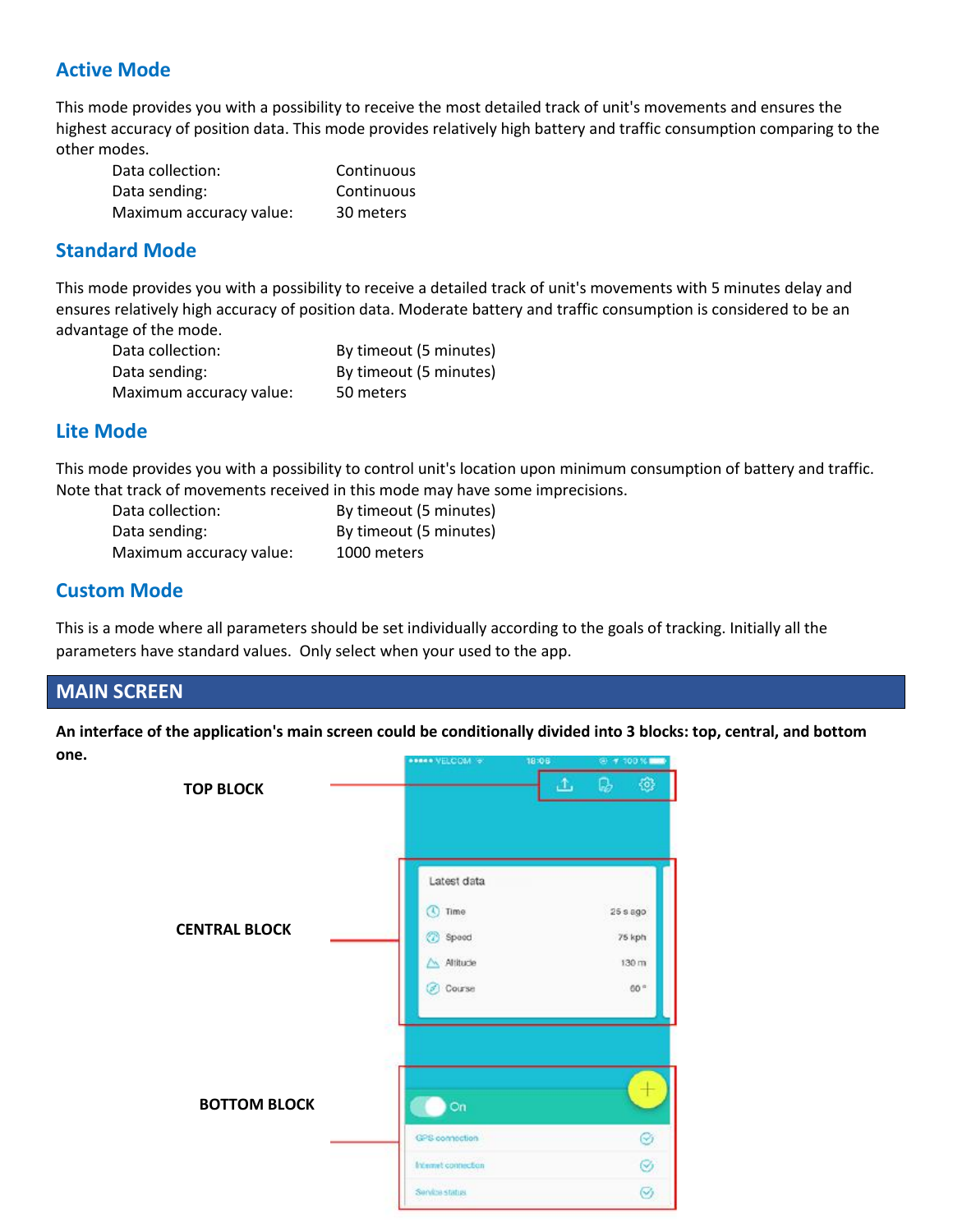# **Active Mode**

This mode provides you with a possibility to receive the most detailed track of unit's movements and ensures the highest accuracy of position data. This mode provides relatively high battery and traffic consumption comparing to the other modes.

| Data collection:        | Continuous |
|-------------------------|------------|
| Data sending:           | Continuous |
| Maximum accuracy value: | 30 meters  |

# **Standard Mode**

This mode provides you with a possibility to receive a detailed track of unit's movements with 5 minutes delay and ensures relatively high accuracy of position data. Moderate battery and traffic consumption is considered to be an advantage of the mode.

| Data collection:        | By timeout (5 minutes) |
|-------------------------|------------------------|
| Data sending:           | By timeout (5 minutes) |
| Maximum accuracy value: | 50 meters              |

# **Lite Mode**

This mode provides you with a possibility to control unit's location upon minimum consumption of battery and traffic. Note that track of movements received in this mode may have some imprecisions.

| Data collection:        | By timeout (5 minutes) |
|-------------------------|------------------------|
| Data sending:           | By timeout (5 minutes) |
| Maximum accuracy value: | 1000 meters            |

# **Custom Mode**

This is a mode where all parameters should be set individually according to the goals of tracking. Initially all the parameters have standard values. Only select when your used to the app.

# **MAIN SCREEN**

**An interface of the application's main screen could be conditionally divided into 3 blocks: top, central, and bottom one.**

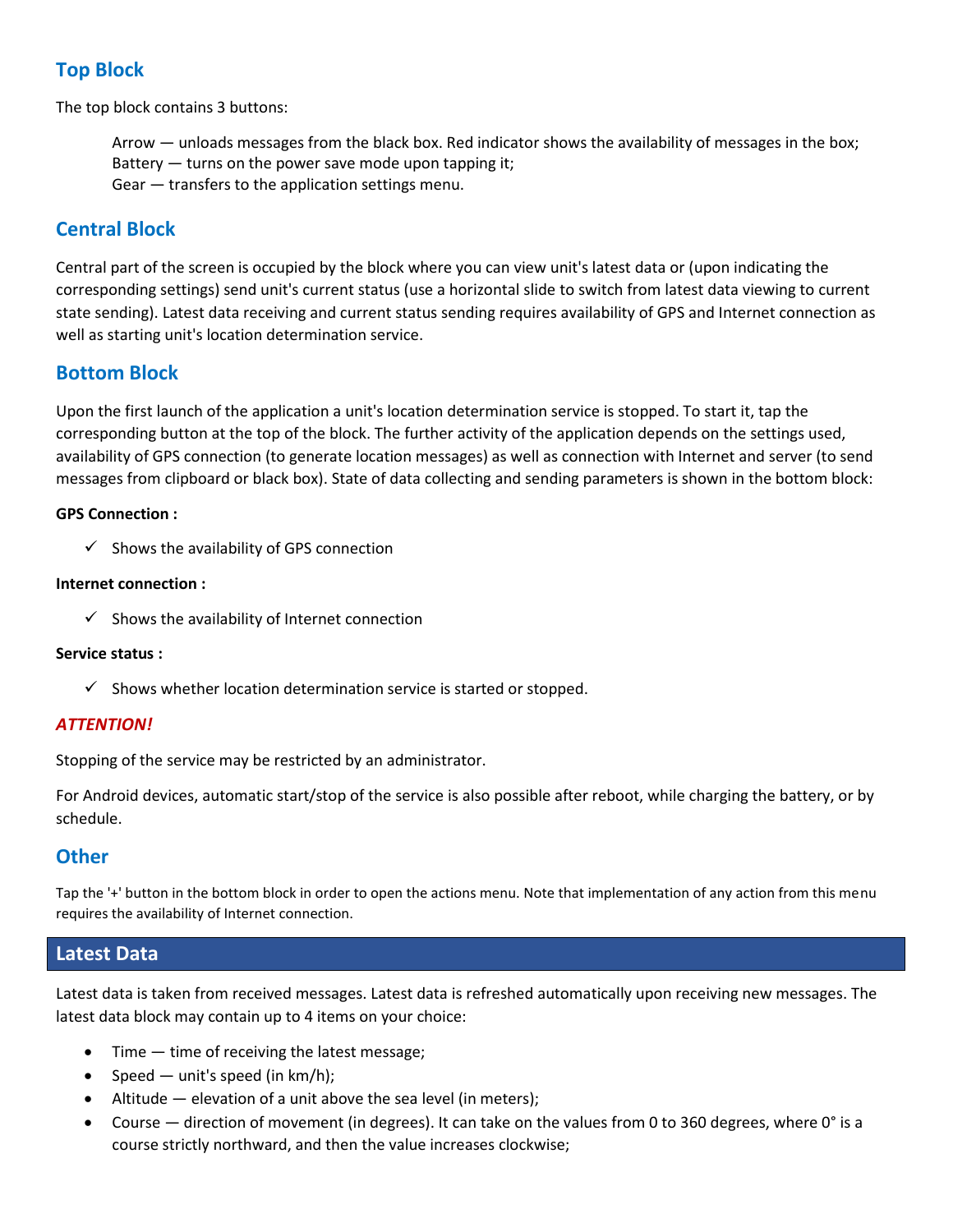# **Top Block**

The top block contains 3 buttons:

Arrow — unloads messages from the black box. Red indicator shows the availability of messages in the box; Battery — turns on the power save mode upon tapping it; Gear — transfers to the application settings menu.

# **Central Block**

Central part of the screen is occupied by the block where you can view unit's latest data or (upon indicating the corresponding settings) send unit's current status (use a horizontal slide to switch from latest data viewing to current state sending). Latest data receiving and current status sending requires availability of GPS and Internet connection as well as starting unit's location determination service.

# **Bottom Block**

Upon the first launch of the application a unit's location determination service is stopped. To start it, tap the corresponding button at the top of the block. The further activity of the application depends on the settings used, availability of GPS connection (to generate location messages) as well as connection with Internet and server (to send messages from clipboard or black box). State of data collecting and sending parameters is shown in the bottom block:

### **GPS Connection :**

 $\checkmark$  Shows the availability of GPS connection

### **Internet connection :**

 $\checkmark$  Shows the availability of Internet connection

### **Service status :**

 $\checkmark$  Shows whether location determination service is started or stopped.

## *ATTENTION!*

Stopping of the service may be restricted by an administrator.

For Android devices, automatic start/stop of the service is also possible after reboot, while charging the battery, or by schedule.

# **Other**

Tap the '+' button in the bottom block in order to open the actions menu. Note that implementation of any action from this menu requires the availability of Internet connection.

# **Latest Data**

Latest data is taken from received messages. Latest data is refreshed automatically upon receiving new messages. The latest data block may contain up to 4 items on your choice:

- Time time of receiving the latest message;
- Speed unit's speed (in km/h);
- Altitude  $-$  elevation of a unit above the sea level (in meters);
- Course direction of movement (in degrees). It can take on the values from 0 to 360 degrees, where 0° is a course strictly northward, and then the value increases clockwise;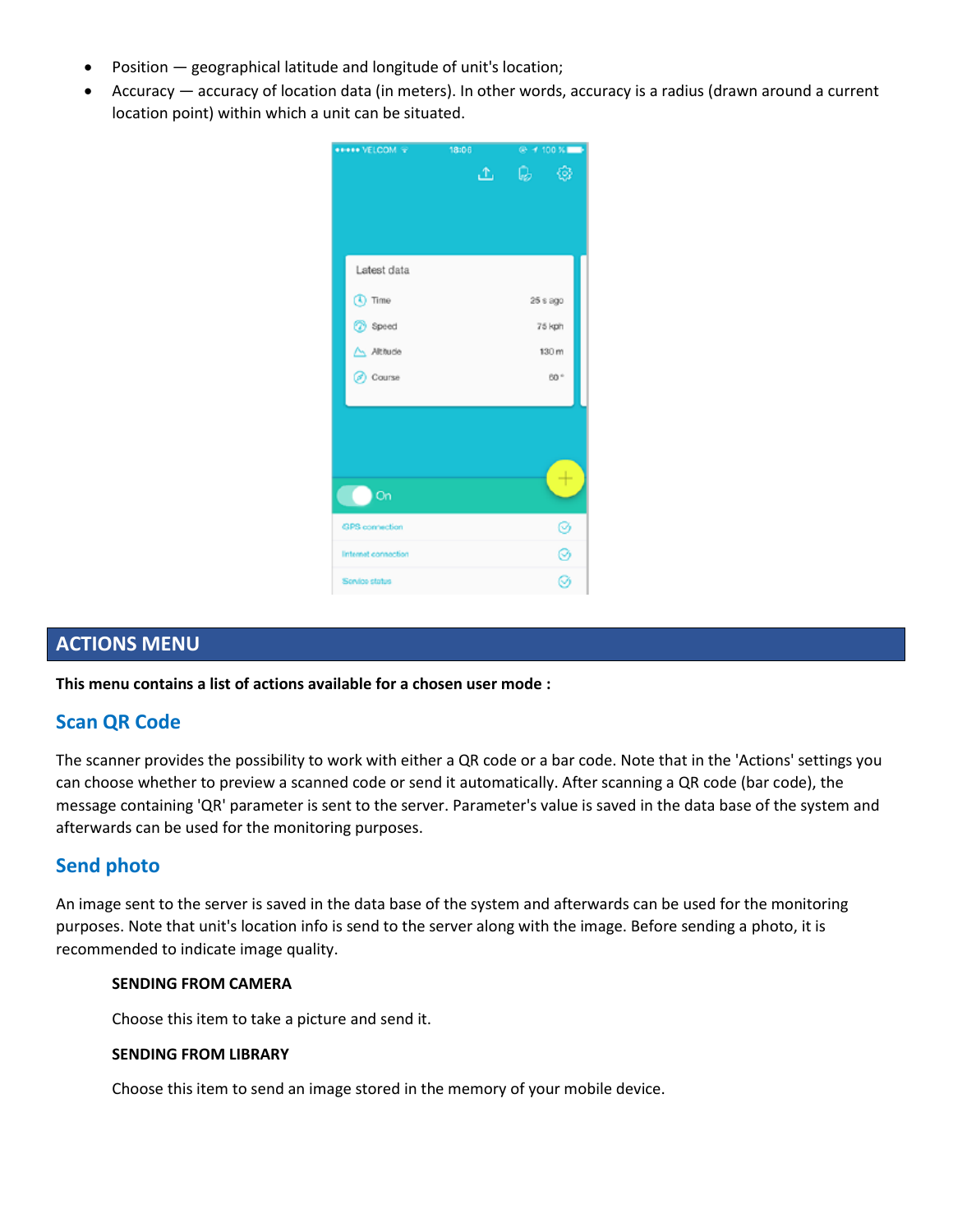- Position geographical latitude and longitude of unit's location;
- Accuracy accuracy of location data (in meters). In other words, accuracy is a radius (drawn around a current location point) within which a unit can be situated.



# **ACTIONS MENU**

**This menu contains a list of actions available for a chosen user mode :**

# **Scan QR Code**

The scanner provides the possibility to work with either a QR code or a bar code. Note that in the 'Actions' settings you can choose whether to preview a scanned code or send it automatically. After scanning a QR code (bar code), the message containing 'QR' parameter is sent to the server. Parameter's value is saved in the data base of the system and afterwards can be used for the monitoring purposes.

# **Send photo**

An image sent to the server is saved in the data base of the system and afterwards can be used for the monitoring purposes. Note that unit's location info is send to the server along with the image. Before sending a photo, it is recommended to indicate image quality.

#### **SENDING FROM CAMERA**

Choose this item to take a picture and send it.

#### **SENDING FROM LIBRARY**

Choose this item to send an image stored in the memory of your mobile device.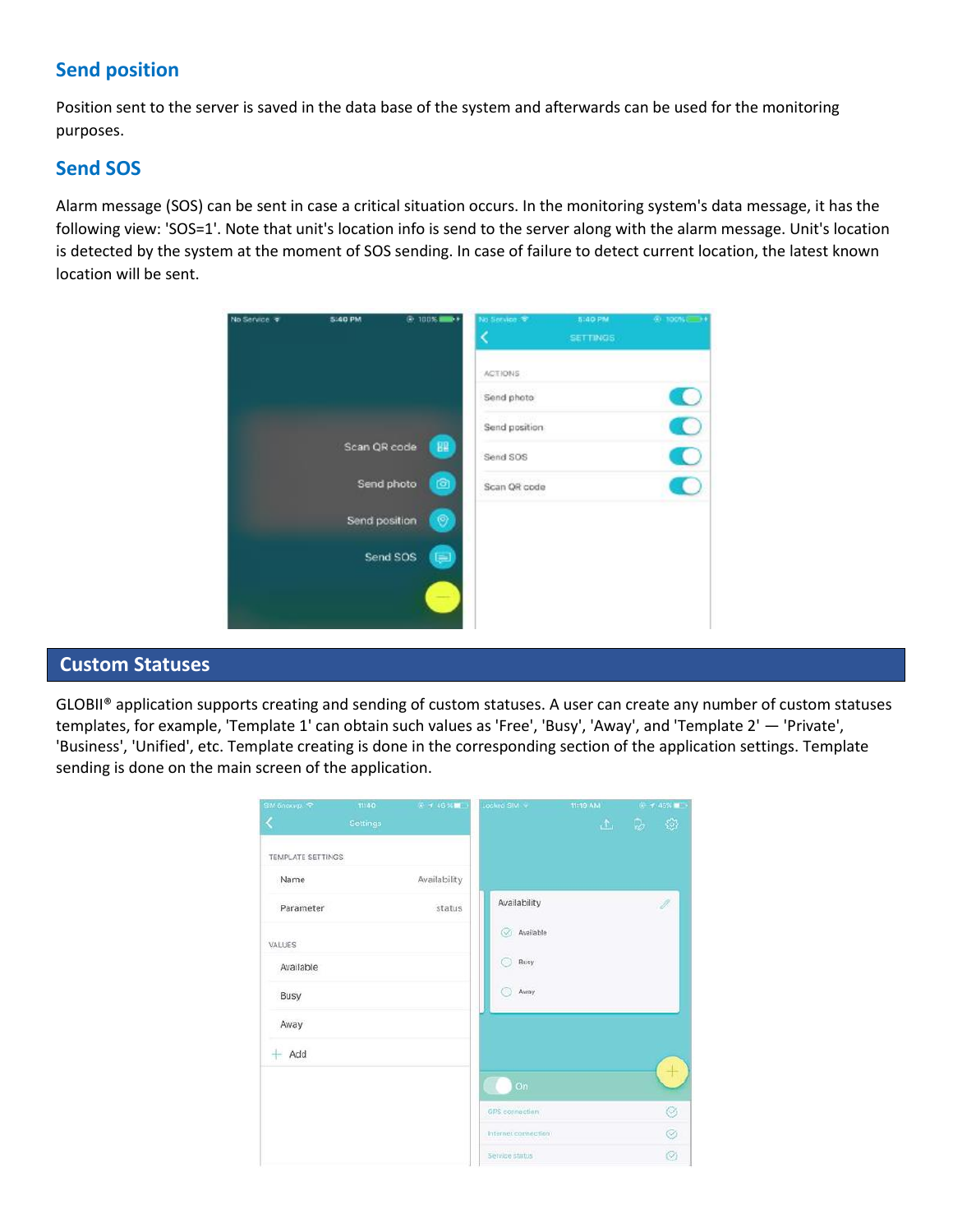# **Send position**

Position sent to the server is saved in the data base of the system and afterwards can be used for the monitoring purposes.

# **Send SOS**

Alarm message (SOS) can be sent in case a critical situation occurs. In the monitoring system's data message, it has the following view: 'SOS=1'. Note that unit's location info is send to the server along with the alarm message. Unit's location is detected by the system at the moment of SOS sending. In case of failure to detect current location, the latest known location will be sent.

| No Service # | <b>5.40 PM</b> | 8,100%         | No Service . * | 5:40 PM<br><b>SETTINGS</b> | $9.1005$ $+$ |
|--------------|----------------|----------------|----------------|----------------------------|--------------|
|              |                |                | ACTIONS        |                            |              |
|              |                |                | Send photo     |                            |              |
|              |                |                | Send position  |                            |              |
|              | Scan QR code   | BB             | Send SOS       |                            |              |
|              | Send photo     | $\circledcirc$ | Scan QR code   |                            |              |
|              | Send position  | ۷              |                |                            |              |
|              | Send SOS       | $=$            |                |                            |              |
|              |                |                |                |                            |              |
|              |                |                |                |                            |              |

# **Custom Statuses**

GLOBII® application supports creating and sending of custom statuses. A user can create any number of custom statuses templates, for example, 'Template 1' can obtain such values as 'Free', 'Busy', 'Away', and 'Template 2' — 'Private', 'Business', 'Unified', etc. Template creating is done in the corresponding section of the application settings. Template sending is done on the main screen of the application.

| SIM 6hourp. P     | 11:40    | A 146% 15    | Locked SIM          | <b>11:19 AM</b> | $6 + 45\%$ and |
|-------------------|----------|--------------|---------------------|-----------------|----------------|
| K                 | Settings |              |                     |                 | 土 局 發          |
| TEMPLATE SETTINGS |          |              |                     |                 |                |
| Name              |          | Availability |                     |                 |                |
| Parameter         |          | status       | Availability        |                 | $\mathcal{O}$  |
| VALUES            |          |              | available           |                 |                |
| Available         |          |              | Busy<br>67          |                 |                |
| Busy              |          |              | Avray<br>61         |                 |                |
| Away              |          |              |                     |                 |                |
| $+$ Add           |          |              |                     |                 |                |
|                   |          |              | <b>On</b>           |                 |                |
|                   |          |              | GPS connection      |                 | Ø              |
|                   |          |              | Internet connection |                 | Ø              |
|                   |          |              | Service status      |                 | Ø              |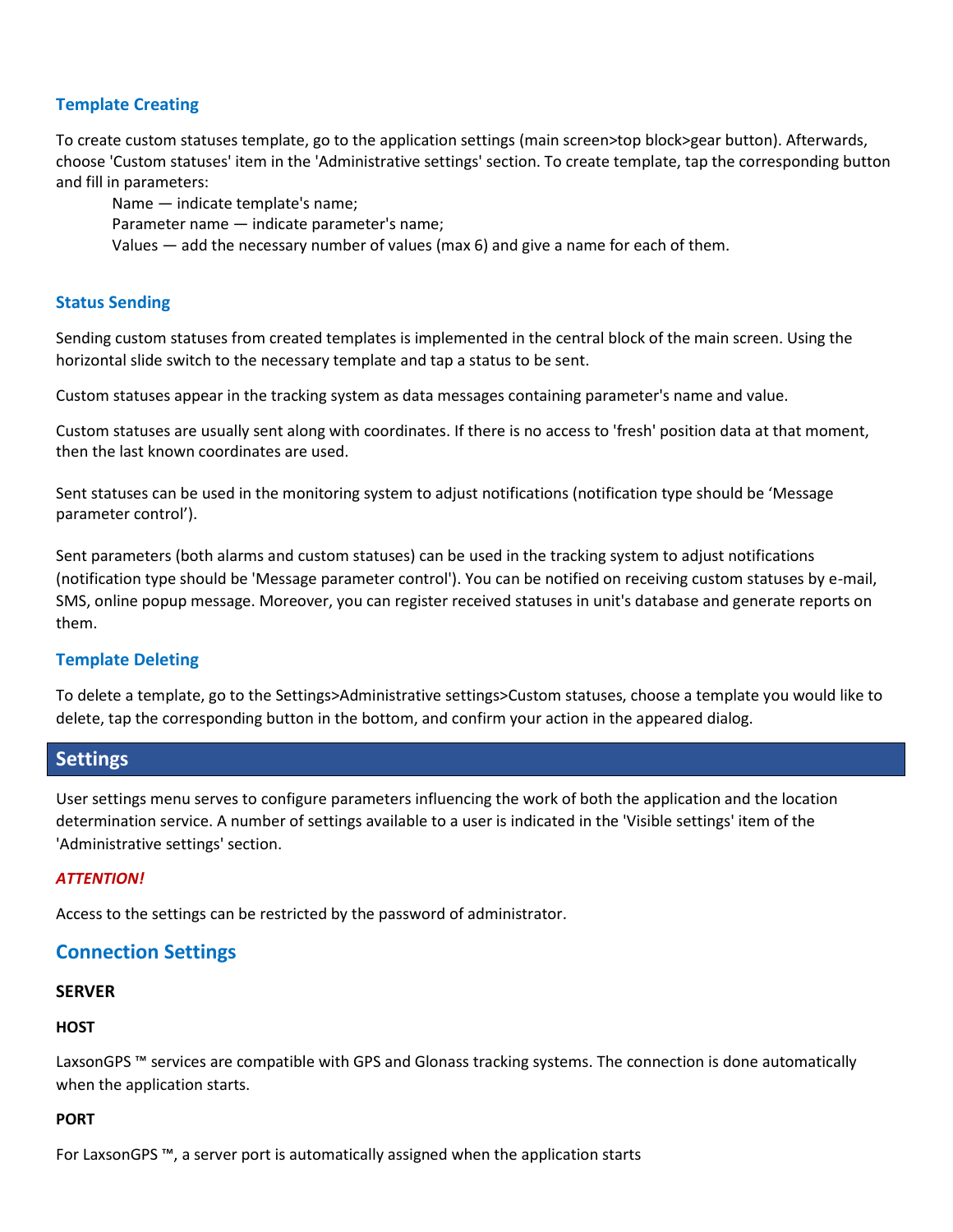## **Template Creating**

To create custom statuses template, go to the application settings (main screen>top block>gear button). Afterwards, choose 'Custom statuses' item in the 'Administrative settings' section. To create template, tap the corresponding button and fill in parameters:

Name — indicate template's name; Parameter name — indicate parameter's name; Values — add the necessary number of values (max 6) and give a name for each of them.

### **Status Sending**

Sending custom statuses from created templates is implemented in the central block of the main screen. Using the horizontal slide switch to the necessary template and tap a status to be sent.

Custom statuses appear in the tracking system as data messages containing parameter's name and value.

Custom statuses are usually sent along with coordinates. If there is no access to 'fresh' position data at that moment, then the last known coordinates are used.

Sent statuses can be used in the monitoring system to adjust notifications (notification type should be 'Message parameter control').

Sent parameters (both alarms and custom statuses) can be used in the tracking system to adjust notifications (notification type should be 'Message parameter control'). You can be notified on receiving custom statuses by e-mail, SMS, online popup message. Moreover, you can register received statuses in unit's database and generate reports on them.

## **Template Deleting**

To delete a template, go to the Settings>Administrative settings>Custom statuses, choose a template you would like to delete, tap the corresponding button in the bottom, and confirm your action in the appeared dialog.

# **Settings**

User settings menu serves to configure parameters influencing the work of both the application and the location determination service. A number of settings available to a user is indicated in the 'Visible settings' item of the 'Administrative settings' section.

### *ATTENTION!*

Access to the settings can be restricted by the password of administrator.

# **Connection Settings**

### **SERVER**

### **HOST**

LaxsonGPS ™ services are compatible with GPS and Glonass tracking systems. The connection is done automatically when the application starts.

### **PORT**

For LaxsonGPS ™, a server port is automatically assigned when the application starts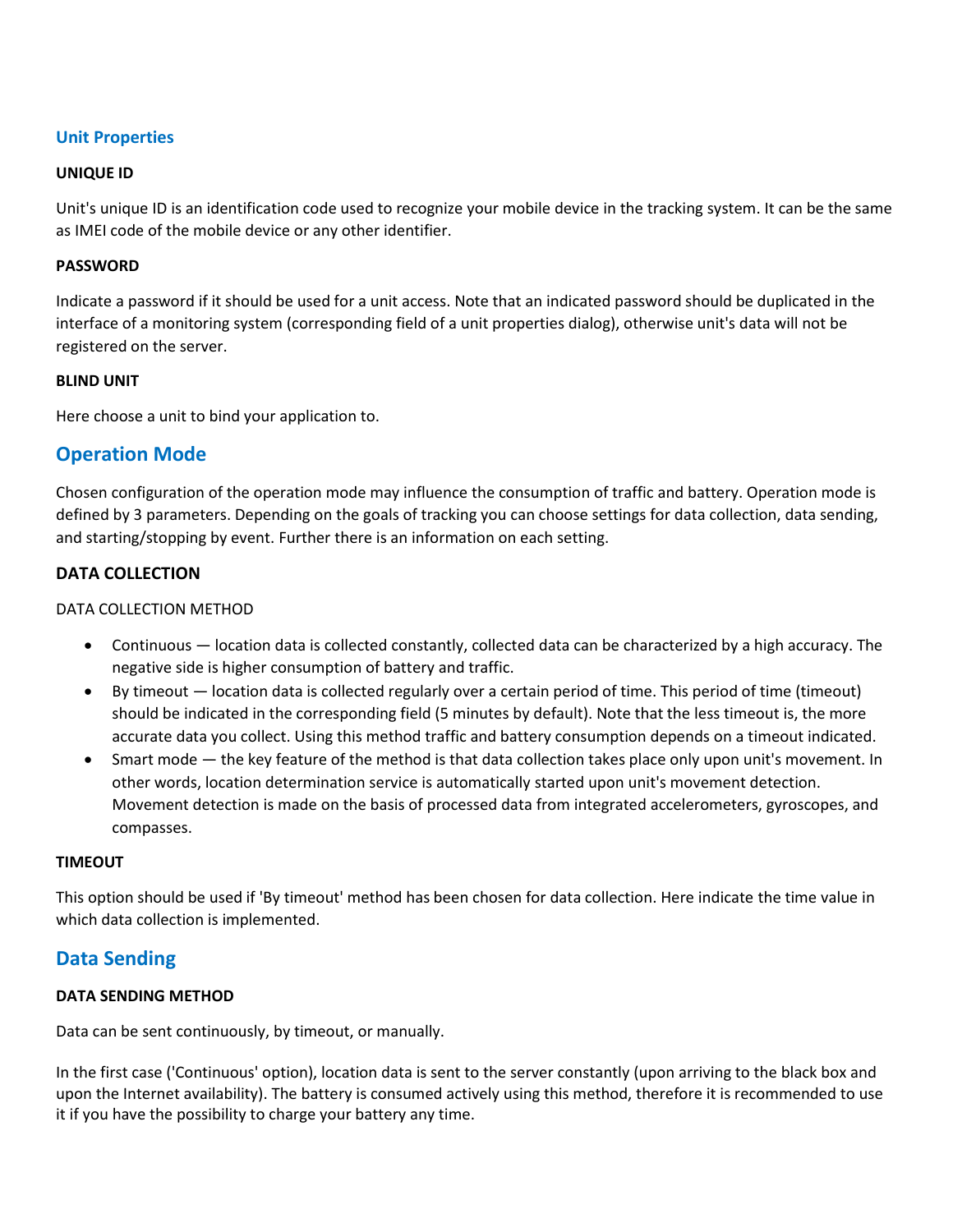## **Unit Properties**

#### **UNIQUE ID**

Unit's unique ID is an identification code used to recognize your mobile device in the tracking system. It can be the same as IMEI code of the mobile device or any other identifier.

#### **PASSWORD**

Indicate a password if it should be used for a unit access. Note that an indicated password should be duplicated in the interface of a monitoring system (corresponding field of a unit properties dialog), otherwise unit's data will not be registered on the server.

#### **BLIND UNIT**

Here choose a unit to bind your application to.

# **Operation Mode**

Chosen configuration of the operation mode may influence the consumption of traffic and battery. Operation mode is defined by 3 parameters. Depending on the goals of tracking you can choose settings for data collection, data sending, and starting/stopping by event. Further there is an information on each setting.

### **DATA COLLECTION**

### DATA COLLECTION METHOD

- Continuous location data is collected constantly, collected data can be characterized by a high accuracy. The negative side is higher consumption of battery and traffic.
- By timeout location data is collected regularly over a certain period of time. This period of time (timeout) should be indicated in the corresponding field (5 minutes by default). Note that the less timeout is, the more accurate data you collect. Using this method traffic and battery consumption depends on a timeout indicated.
- Smart mode the key feature of the method is that data collection takes place only upon unit's movement. In other words, location determination service is automatically started upon unit's movement detection. Movement detection is made on the basis of processed data from integrated accelerometers, gyroscopes, and compasses.

#### **TIMEOUT**

This option should be used if 'By timeout' method has been chosen for data collection. Here indicate the time value in which data collection is implemented.

# **Data Sending**

### **DATA SENDING METHOD**

Data can be sent continuously, by timeout, or manually.

In the first case ('Continuous' option), location data is sent to the server constantly (upon arriving to the black box and upon the Internet availability). The battery is consumed actively using this method, therefore it is recommended to use it if you have the possibility to charge your battery any time.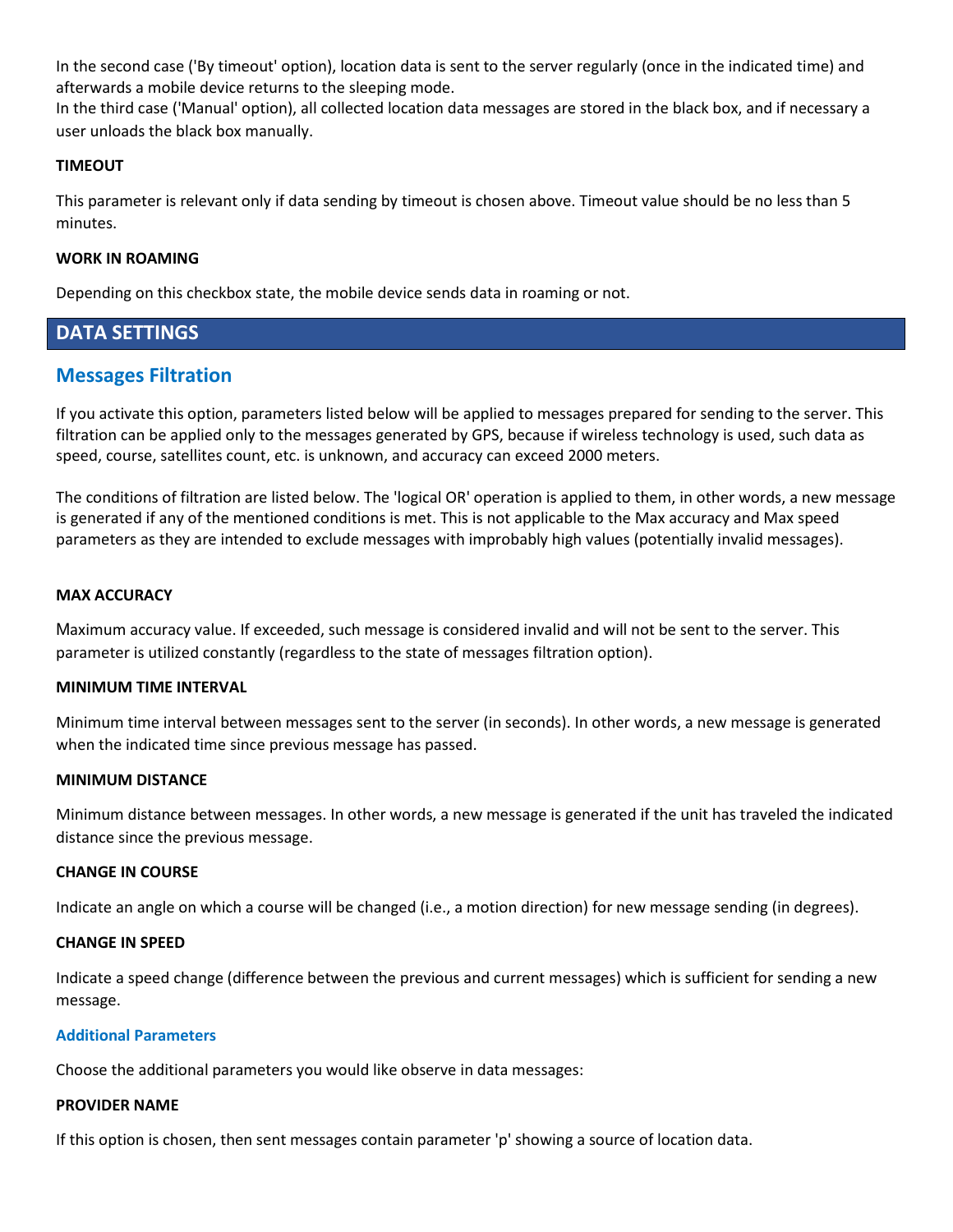In the second case ('By timeout' option), location data is sent to the server regularly (once in the indicated time) and afterwards a mobile device returns to the sleeping mode.

In the third case ('Manual' option), all collected location data messages are stored in the black box, and if necessary a user unloads the black box manually.

### **TIMEOUT**

This parameter is relevant only if data sending by timeout is chosen above. Timeout value should be no less than 5 minutes.

### **WORK IN ROAMING**

Depending on this checkbox state, the mobile device sends data in roaming or not.

# **DATA SETTINGS**

# **Messages Filtration**

If you activate this option, parameters listed below will be applied to messages prepared for sending to the server. This filtration can be applied only to the messages generated by GPS, because if wireless technology is used, such data as speed, course, satellites count, etc. is unknown, and accuracy can exceed 2000 meters.

The conditions of filtration are listed below. The 'logical OR' operation is applied to them, in other words, a new message is generated if any of the mentioned conditions is met. This is not applicable to the Max accuracy and Max speed parameters as they are intended to exclude messages with improbably high values (potentially invalid messages).

#### **MAX ACCURACY**

Maximum accuracy value. If exceeded, such message is considered invalid and will not be sent to the server. This parameter is utilized constantly (regardless to the state of messages filtration option).

### **MINIMUM TIME INTERVAL**

Minimum time interval between messages sent to the server (in seconds). In other words, a new message is generated when the indicated time since previous message has passed.

#### **MINIMUM DISTANCE**

Minimum distance between messages. In other words, a new message is generated if the unit has traveled the indicated distance since the previous message.

### **CHANGE IN COURSE**

Indicate an angle on which a course will be changed (i.e., a motion direction) for new message sending (in degrees).

#### **CHANGE IN SPEED**

Indicate a speed change (difference between the previous and current messages) which is sufficient for sending a new message.

#### **Additional Parameters**

Choose the additional parameters you would like observe in data messages:

#### **PROVIDER NAME**

If this option is chosen, then sent messages contain parameter 'p' showing a source of location data.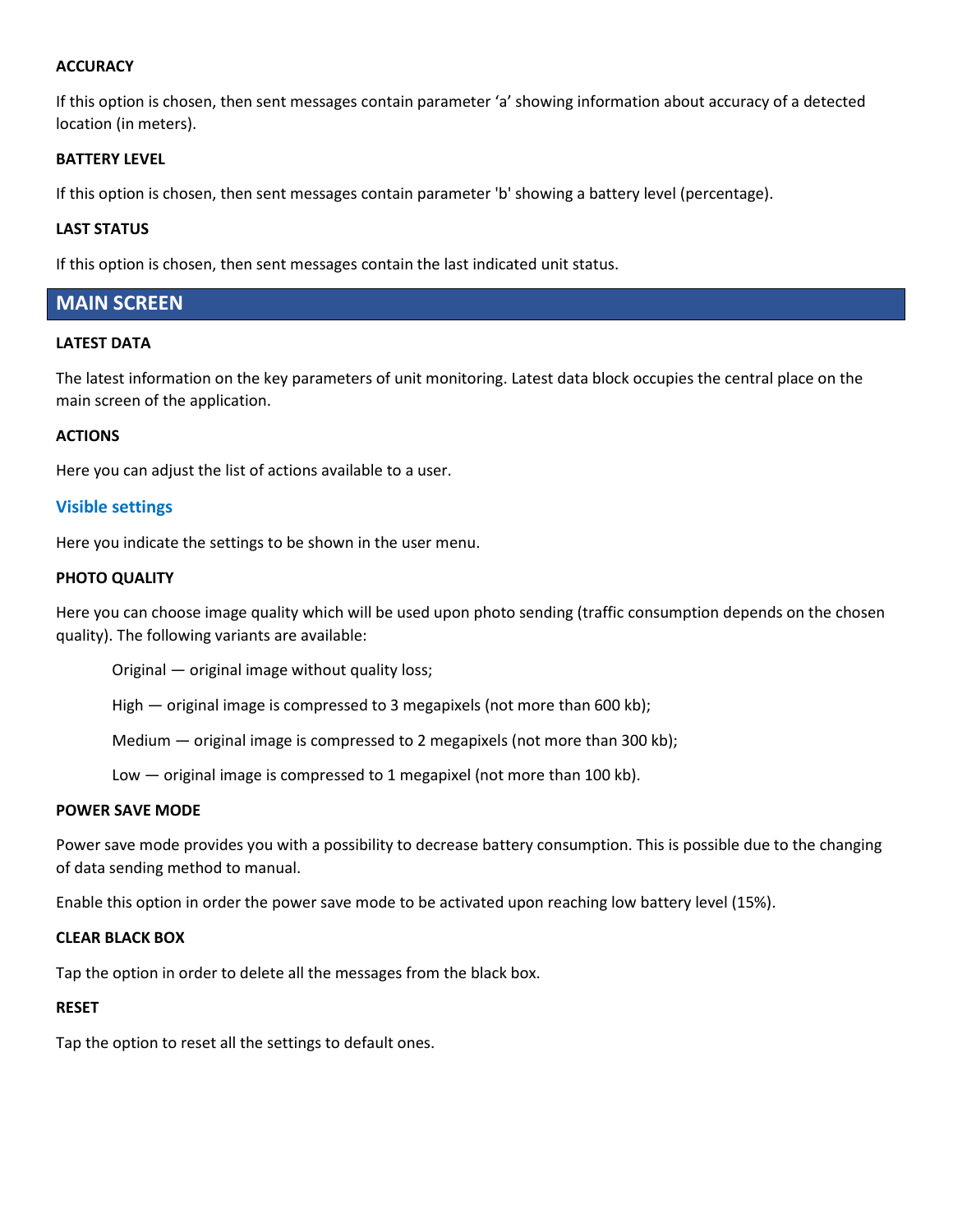#### **ACCURACY**

If this option is chosen, then sent messages contain parameter 'a' showing information about accuracy of a detected location (in meters).

#### **BATTERY LEVEL**

If this option is chosen, then sent messages contain parameter 'b' showing a battery level (percentage).

#### **LAST STATUS**

If this option is chosen, then sent messages contain the last indicated unit status.

## **MAIN SCREEN**

#### **LATEST DATA**

The latest information on the key parameters of unit monitoring. Latest data block occupies the central place on the main screen of the application.

#### **ACTIONS**

Here you can adjust the list of actions available to a user.

#### **Visible settings**

Here you indicate the settings to be shown in the user menu.

#### **PHOTO QUALITY**

Here you can choose image quality which will be used upon photo sending (traffic consumption depends on the chosen quality). The following variants are available:

Original — original image without quality loss;

High — original image is compressed to 3 megapixels (not more than 600 kb);

Medium — original image is compressed to 2 megapixels (not more than 300 kb);

Low — original image is compressed to 1 megapixel (not more than 100 kb).

#### **POWER SAVE MODE**

Power save mode provides you with a possibility to decrease battery consumption. This is possible due to the changing of data sending method to manual.

Enable this option in order the power save mode to be activated upon reaching low battery level (15%).

#### **CLEAR BLACK BOX**

Tap the option in order to delete all the messages from the black box.

#### **RESET**

Tap the option to reset all the settings to default ones.